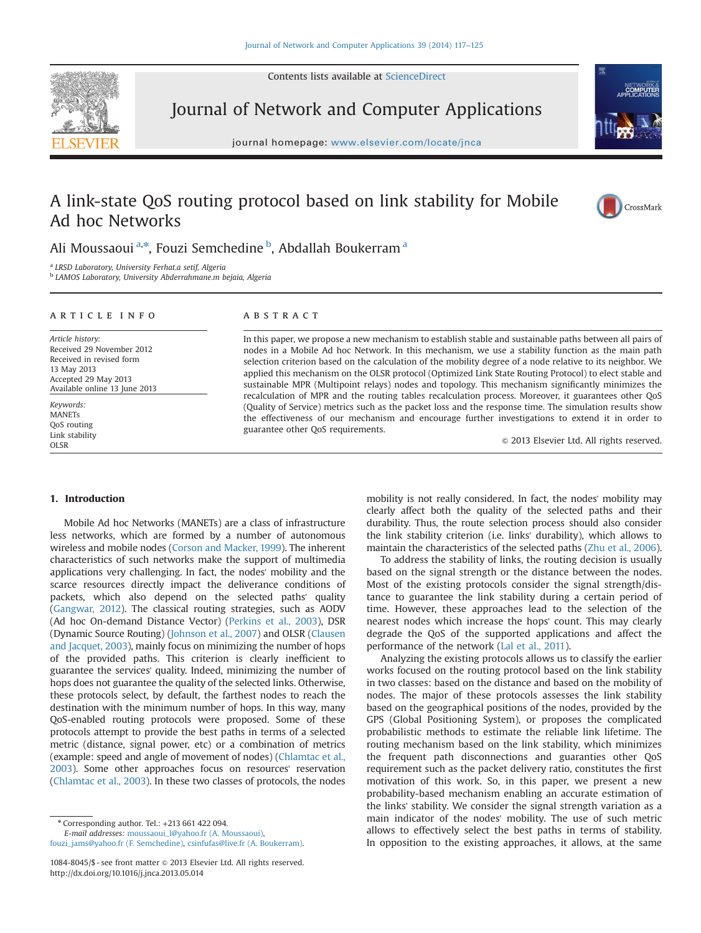Contents lists available at [ScienceDirect](www.sciencedirect.com/science/journal/10848045)



Journal of Network and Computer Applications

journal homepage: <www.elsevier.com/locate/jnca>te/jncate/jncate/jncate/jncate/jncate/jncate/jncate/jncate/jncate/jncate/jncate/jncate/jncate/jncate/jncate/jncate/jncate/jncate/jncate/jncate/jncate/jncate/jncate/jncate/jnca



# A link-state QoS routing protocol based on link stability for Mobile Ad hoc Networks



Ali Moussaoui<sup>a,\*</sup>, Fouzi Semchedine <sup>b</sup>, Abdallah Boukerram <sup>a</sup>

<sup>a</sup> LRSD Laboratory, University Ferhat.a setif, Algeria

<sup>b</sup> LAMOS Laboratory, University Abderrahmane.m bejaia, Algeria

### article info

Article history: Received 29 November 2012 Received in revised form 13 May 2013 Accepted 29 May 2013 Available online 13 June 2013

Keywords: **MANETs** QoS routing Link stability OLSR

#### **ABSTRACT**

In this paper, we propose a new mechanism to establish stable and sustainable paths between all pairs of nodes in a Mobile Ad hoc Network. In this mechanism, we use a stability function as the main path selection criterion based on the calculation of the mobility degree of a node relative to its neighbor. We applied this mechanism on the OLSR protocol (Optimized Link State Routing Protocol) to elect stable and sustainable MPR (Multipoint relays) nodes and topology. This mechanism significantly minimizes the recalculation of MPR and the routing tables recalculation process. Moreover, it guarantees other QoS (Quality of Service) metrics such as the packet loss and the response time. The simulation results show the effectiveness of our mechanism and encourage further investigations to extend it in order to guarantee other QoS requirements.

 $©$  2013 Elsevier Ltd. All rights reserved.

## 1. Introduction

Mobile Ad hoc Networks (MANETs) are a class of infrastructure less networks, which are formed by a number of autonomous wireless and mobile nodes (Corson and Macker, 1999). The inherent characteristics of such networks make the support of multimedia applications very challenging. In fact, the nodes' mobility and the scarce resources directly impact the deliverance conditions of packets, which also depend on the selected paths' quality (Gangwar, 2012). The classical routing strategies, such as AODV (Ad hoc On-demand Distance Vector) (Perkins et al., 2003), DSR (Dynamic Source Routing) (Johnson et al., 2007) and OLSR (Clausen and Jacquet, 2003), mainly focus on minimizing the number of hops of the provided paths. This criterion is clearly inefficient to guarantee the services' quality. Indeed, minimizing the number of hops does not guarantee the quality of the selected links. Otherwise, these protocols select, by default, the farthest nodes to reach the destination with the minimum number of hops. In this way, many QoS-enabled routing protocols were proposed. Some of these protocols attempt to provide the best paths in terms of a selected metric (distance, signal power, etc) or a combination of metrics (example: speed and angle of movement of nodes) (Chlamtac et al., 2003). Some other approaches focus on resources' reservation (Chlamtac et al., 2003). In these two classes of protocols, the nodes

E-mail addresses: [moussaoui\\_l@yahoo.fr \(A. Moussaoui\),](mailto:moussaoui&underscore;l@yahoo.fr) [fouzi\\_jams@yahoo.fr \(F. Semchedine\),](mailto:fouzi&underscore;jams@yahoo.fr) [csinfufas@live.fr \(A. Boukerram\).](mailto:csinfufas@live.fr) mobility is not really considered. In fact, the nodes' mobility may clearly affect both the quality of the selected paths and their durability. Thus, the route selection process should also consider the link stability criterion (i.e. links' durability), which allows to maintain the characteristics of the selected paths (Zhu et al., 2006).

To address the stability of links, the routing decision is usually based on the signal strength or the distance between the nodes. Most of the existing protocols consider the signal strength/distance to guarantee the link stability during a certain period of time. However, these approaches lead to the selection of the nearest nodes which increase the hops' count. This may clearly degrade the QoS of the supported applications and affect the performance of the network (Lal et al., 2011).

Analyzing the existing protocols allows us to classify the earlier works focused on the routing protocol based on the link stability in two classes: based on the distance and based on the mobility of nodes. The major of these protocols assesses the link stability based on the geographical positions of the nodes, provided by the GPS (Global Positioning System), or proposes the complicated probabilistic methods to estimate the reliable link lifetime. The routing mechanism based on the link stability, which minimizes the frequent path disconnections and guaranties other QoS requirement such as the packet delivery ratio, constitutes the first motivation of this work. So, in this paper, we present a new probability-based mechanism enabling an accurate estimation of the links' stability. We consider the signal strength variation as a main indicator of the nodes' mobility. The use of such metric allows to effectively select the best paths in terms of stability. In opposition to the existing approaches, it allows, at the same

 $*$  Corresponding author. Tel.:  $+213661422094$ .

<sup>1084-8045/\$ -</sup> see front matter  $\odot$  2013 Elsevier Ltd. All rights reserved. <http://dx.doi.org/10.1016/j.jnca.2013.05.014>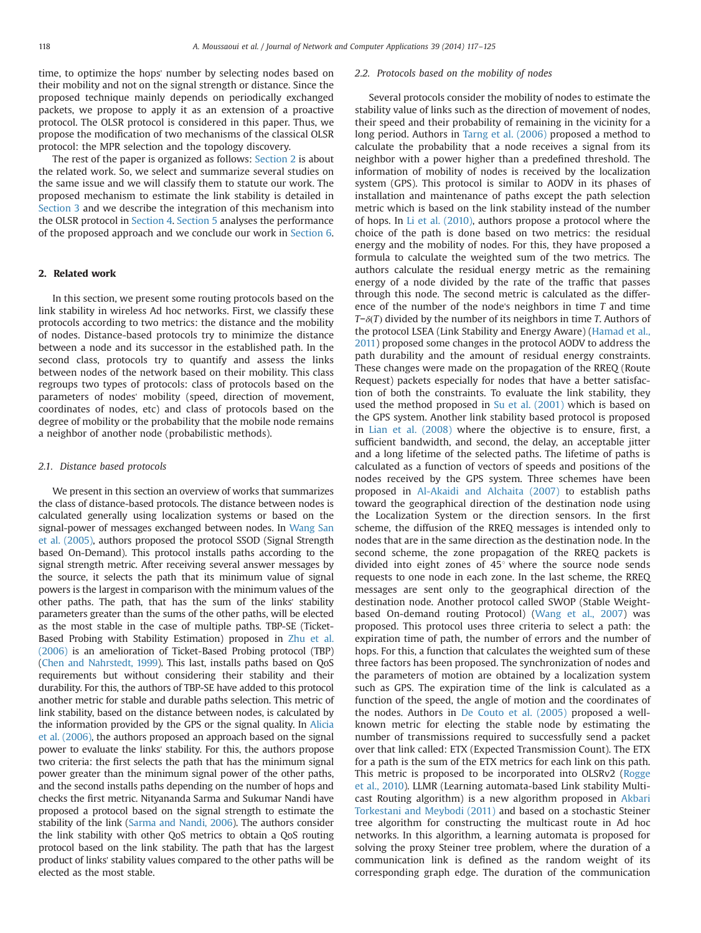time, to optimize the hops' number by selecting nodes based on their mobility and not on the signal strength or distance. Since the proposed technique mainly depends on periodically exchanged packets, we propose to apply it as an extension of a proactive protocol. The OLSR protocol is considered in this paper. Thus, we propose the modification of two mechanisms of the classical OLSR protocol: the MPR selection and the topology discovery.

The rest of the paper is organized as follows: Section 2 is about the related work. So, we select and summarize several studies on the same issue and we will classify them to statute our work. The proposed mechanism to estimate the link stability is detailed in Section 3 and we describe the integration of this mechanism into the OLSR protocol in Section 4. Section 5 analyses the performance of the proposed approach and we conclude our work in Section 6.

### 2. Related work

In this section, we present some routing protocols based on the link stability in wireless Ad hoc networks. First, we classify these protocols according to two metrics: the distance and the mobility of nodes. Distance-based protocols try to minimize the distance between a node and its successor in the established path. In the second class, protocols try to quantify and assess the links between nodes of the network based on their mobility. This class regroups two types of protocols: class of protocols based on the parameters of nodes' mobility (speed, direction of movement, coordinates of nodes, etc) and class of protocols based on the degree of mobility or the probability that the mobile node remains a neighbor of another node (probabilistic methods).

#### 2.1. Distance based protocols

We present in this section an overview of works that summarizes the class of distance-based protocols. The distance between nodes is calculated generally using localization systems or based on the signal-power of messages exchanged between nodes. In Wang San et al. (2005), authors proposed the protocol SSOD (Signal Strength based On-Demand). This protocol installs paths according to the signal strength metric. After receiving several answer messages by the source, it selects the path that its minimum value of signal powers is the largest in comparison with the minimum values of the other paths. The path, that has the sum of the links' stability parameters greater than the sums of the other paths, will be elected as the most stable in the case of multiple paths. TBP-SE (Ticket-Based Probing with Stability Estimation) proposed in Zhu et al. (2006) is an amelioration of Ticket-Based Probing protocol (TBP) (Chen and Nahrstedt, 1999). This last, installs paths based on QoS requirements but without considering their stability and their durability. For this, the authors of TBP-SE have added to this protocol another metric for stable and durable paths selection. This metric of link stability, based on the distance between nodes, is calculated by the information provided by the GPS or the signal quality. In Alicia et al. (2006), the authors proposed an approach based on the signal power to evaluate the links' stability. For this, the authors propose two criteria: the first selects the path that has the minimum signal power greater than the minimum signal power of the other paths, and the second installs paths depending on the number of hops and checks the first metric. Nityananda Sarma and Sukumar Nandi have proposed a protocol based on the signal strength to estimate the stability of the link (Sarma and Nandi, 2006). The authors consider the link stability with other QoS metrics to obtain a QoS routing protocol based on the link stability. The path that has the largest product of links' stability values compared to the other paths will be elected as the most stable.

#### 2.2. Protocols based on the mobility of nodes

Several protocols consider the mobility of nodes to estimate the stability value of links such as the direction of movement of nodes, their speed and their probability of remaining in the vicinity for a long period. Authors in Tarng et al. (2006) proposed a method to calculate the probability that a node receives a signal from its neighbor with a power higher than a predefined threshold. The information of mobility of nodes is received by the localization system (GPS). This protocol is similar to AODV in its phases of installation and maintenance of paths except the path selection metric which is based on the link stability instead of the number of hops. In Li et al. (2010), authors propose a protocol where the choice of the path is done based on two metrics: the residual energy and the mobility of nodes. For this, they have proposed a formula to calculate the weighted sum of the two metrics. The authors calculate the residual energy metric as the remaining energy of a node divided by the rate of the traffic that passes through this node. The second metric is calculated as the difference of the number of the node's neighbors in time T and time  $T-\delta(T)$  divided by the number of its neighbors in time T. Authors of the protocol LSEA (Link Stability and Energy Aware) (Hamad et al., 2011) proposed some changes in the protocol AODV to address the path durability and the amount of residual energy constraints. These changes were made on the propagation of the RREQ (Route Request) packets especially for nodes that have a better satisfaction of both the constraints. To evaluate the link stability, they used the method proposed in Su et al. (2001) which is based on the GPS system. Another link stability based protocol is proposed in Lian et al. (2008) where the objective is to ensure, first, a sufficient bandwidth, and second, the delay, an acceptable jitter and a long lifetime of the selected paths. The lifetime of paths is calculated as a function of vectors of speeds and positions of the nodes received by the GPS system. Three schemes have been proposed in Al-Akaidi and Alchaita (2007) to establish paths toward the geographical direction of the destination node using the Localization System or the direction sensors. In the first scheme, the diffusion of the RREQ messages is intended only to nodes that are in the same direction as the destination node. In the second scheme, the zone propagation of the RREQ packets is divided into eight zones of  $45^{\circ}$  where the source node sends requests to one node in each zone. In the last scheme, the RREQ messages are sent only to the geographical direction of the destination node. Another protocol called SWOP (Stable Weightbased On-demand routing Protocol) (Wang et al., 2007) was proposed. This protocol uses three criteria to select a path: the expiration time of path, the number of errors and the number of hops. For this, a function that calculates the weighted sum of these three factors has been proposed. The synchronization of nodes and the parameters of motion are obtained by a localization system such as GPS. The expiration time of the link is calculated as a function of the speed, the angle of motion and the coordinates of the nodes. Authors in De Couto et al. (2005) proposed a wellknown metric for electing the stable node by estimating the number of transmissions required to successfully send a packet over that link called: ETX (Expected Transmission Count). The ETX for a path is the sum of the ETX metrics for each link on this path. This metric is proposed to be incorporated into OLSRv2 (Rogge et al., 2010). LLMR (Learning automata-based Link stability Multicast Routing algorithm) is a new algorithm proposed in Akbari Torkestani and Meybodi (2011) and based on a stochastic Steiner tree algorithm for constructing the multicast route in Ad hoc networks. In this algorithm, a learning automata is proposed for solving the proxy Steiner tree problem, where the duration of a communication link is defined as the random weight of its corresponding graph edge. The duration of the communication